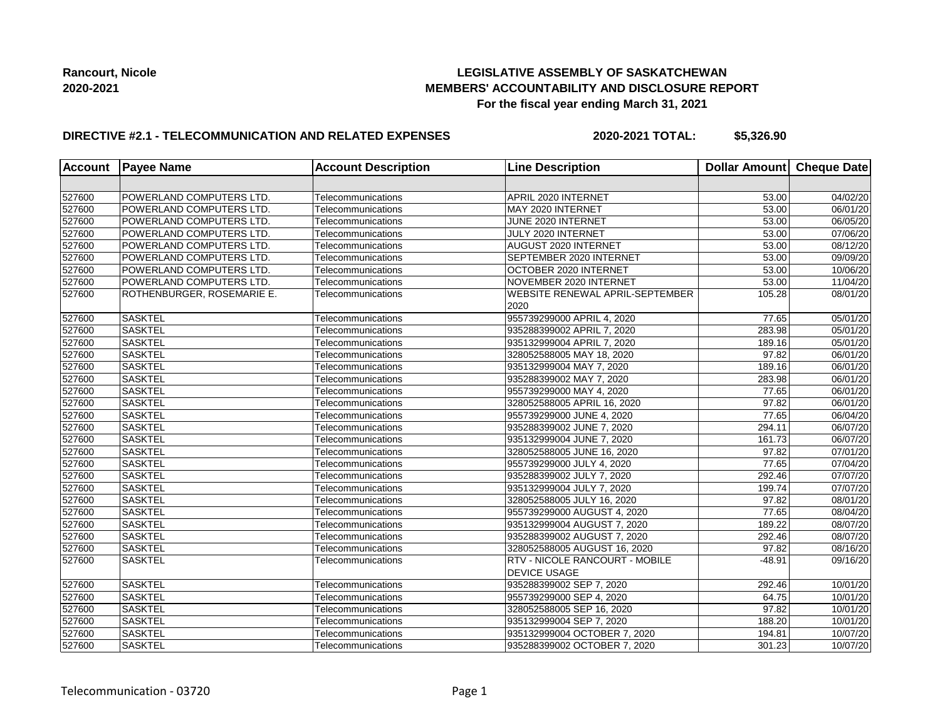## **LEGISLATIVE ASSEMBLY OF SASKATCHEWAN MEMBERS' ACCOUNTABILITY AND DISCLOSURE REPORT For the fiscal year ending March 31, 2021**

## **DIRECTIVE #2.1 - TELECOMMUNICATION AND RELATED EXPENSES**

**2020-2021 TOTAL: \$5,326.90**

| <b>Account</b> | <b>Payee Name</b>               | <b>Account Description</b> | <b>Line Description</b>                                      | Dollar Amount Cheque Date |                       |
|----------------|---------------------------------|----------------------------|--------------------------------------------------------------|---------------------------|-----------------------|
|                |                                 |                            |                                                              |                           |                       |
| 527600         | <b>POWERLAND COMPUTERS LTD.</b> | Telecommunications         | APRIL 2020 INTERNET                                          | 53.00                     | 04/02/20              |
| 527600         | POWERLAND COMPUTERS LTD.        | Telecommunications         | MAY 2020 INTERNET                                            | 53.00                     | 06/01/20              |
| 527600         | POWERLAND COMPUTERS LTD.        | Telecommunications         | JUNE 2020 INTERNET                                           | 53.00                     | $\overline{06}/05/20$ |
| 527600         | POWERLAND COMPUTERS LTD.        | Telecommunications         | JULY 2020 INTERNET                                           | 53.00                     | 07/06/20              |
| 527600         | POWERLAND COMPUTERS LTD.        | Telecommunications         | AUGUST 2020 INTERNET                                         | 53.00                     | 08/12/20              |
| 527600         | POWERLAND COMPUTERS LTD.        | Telecommunications         | SEPTEMBER 2020 INTERNET                                      | 53.00                     | 09/09/20              |
| 527600         | POWERLAND COMPUTERS LTD.        | Telecommunications         | OCTOBER 2020 INTERNET                                        | 53.00                     | 10/06/20              |
| 527600         | <b>POWERLAND COMPUTERS LTD.</b> | Telecommunications         | NOVEMBER 2020 INTERNET                                       | 53.00                     | 11/04/20              |
| 527600         | ROTHENBURGER, ROSEMARIE E.      | Telecommunications         | <b>WEBSITE RENEWAL APRIL-SEPTEMBER</b><br>2020               | 105.28                    | 08/01/20              |
| 527600         | <b>SASKTEL</b>                  | Telecommunications         | 955739299000 APRIL 4, 2020                                   | $\overline{77.65}$        | $\overline{05}/01/20$ |
| 527600         | <b>SASKTEL</b>                  | Telecommunications         | 935288399002 APRIL 7, 2020                                   | 283.98                    | $\overline{05}/01/20$ |
| 527600         | <b>SASKTEL</b>                  | Telecommunications         | 935132999004 APRIL 7, 2020                                   | 189.16                    | 05/01/20              |
| 527600         | <b>SASKTEL</b>                  | Telecommunications         | 328052588005 MAY 18, 2020                                    | 97.82                     | 06/01/20              |
| 527600         | <b>SASKTEL</b>                  | Telecommunications         | 935132999004 MAY 7, 2020                                     | 189.16                    | 06/01/20              |
| 527600         | <b>SASKTEL</b>                  | Telecommunications         | 935288399002 MAY 7, 2020                                     | 283.98                    | $\overline{06}/01/20$ |
| 527600         | <b>SASKTEL</b>                  | Telecommunications         | 955739299000 MAY 4, 2020                                     | 77.65                     | 06/01/20              |
| 527600         | <b>SASKTEL</b>                  | Telecommunications         | 328052588005 APRIL 16, 2020                                  | 97.82                     | 06/01/20              |
| 527600         | <b>SASKTEL</b>                  | Telecommunications         | 955739299000 JUNE 4, 2020                                    | 77.65                     | 06/04/20              |
| 527600         | <b>SASKTEL</b>                  | Telecommunications         | 935288399002 JUNE 7, 2020                                    | 294.11                    | 06/07/20              |
| 527600         | <b>SASKTEL</b>                  | Telecommunications         | 935132999004 JUNE 7, 2020                                    | 161.73                    | 06/07/20              |
| 527600         | <b>SASKTEL</b>                  | Telecommunications         | 328052588005 JUNE 16, 2020                                   | 97.82                     | 07/01/20              |
| 527600         | <b>SASKTEL</b>                  | Telecommunications         | 955739299000 JULY 4, 2020                                    | 77.65                     | 07/04/20              |
| 527600         | <b>SASKTEL</b>                  | Telecommunications         | 935288399002 JULY 7, 2020                                    | 292.46                    | 07/07/20              |
| 527600         | <b>SASKTEL</b>                  | Telecommunications         | 935132999004 JULY 7, 2020                                    | 199.74                    | 07/07/20              |
| 527600         | <b>SASKTEL</b>                  | Telecommunications         | 328052588005 JULY 16, 2020                                   | 97.82                     | 08/01/20              |
| 527600         | <b>SASKTEL</b>                  | Telecommunications         | 955739299000 AUGUST 4, 2020                                  | 77.65                     | 08/04/20              |
| 527600         | <b>SASKTEL</b>                  | Telecommunications         | 935132999004 AUGUST 7, 2020                                  | 189.22                    | 08/07/20              |
| 527600         | <b>SASKTEL</b>                  | Telecommunications         | 935288399002 AUGUST 7, 2020                                  | 292.46                    | 08/07/20              |
| 527600         | <b>SASKTEL</b>                  | Telecommunications         | 328052588005 AUGUST 16, 2020                                 | 97.82                     | 08/16/20              |
| 527600         | <b>SASKTEL</b>                  | Telecommunications         | <b>RTV - NICOLE RANCOURT - MOBILE</b><br><b>DEVICE USAGE</b> | $-48.91$                  | 09/16/20              |
| 527600         | SASKTEL                         | Telecommunications         | 935288399002 SEP 7, 2020                                     | 292.46                    | 10/01/20              |
| 527600         | <b>SASKTEL</b>                  | Telecommunications         | 955739299000 SEP 4, 2020                                     | 64.75                     | $\overline{10}/01/20$ |
| 527600         | <b>SASKTEL</b>                  | Telecommunications         | 328052588005 SEP 16, 2020                                    | 97.82                     | 10/01/20              |
| 527600         | <b>SASKTEL</b>                  | Telecommunications         | 935132999004 SEP 7, 2020                                     | 188.20                    | 10/01/20              |
| 527600         | <b>SASKTEL</b>                  | Telecommunications         | 935132999004 OCTOBER 7, 2020                                 | 194.81                    | 10/07/20              |
| 527600         | <b>SASKTEL</b>                  | Telecommunications         | 935288399002 OCTOBER 7, 2020                                 | 301.23                    | 10/07/20              |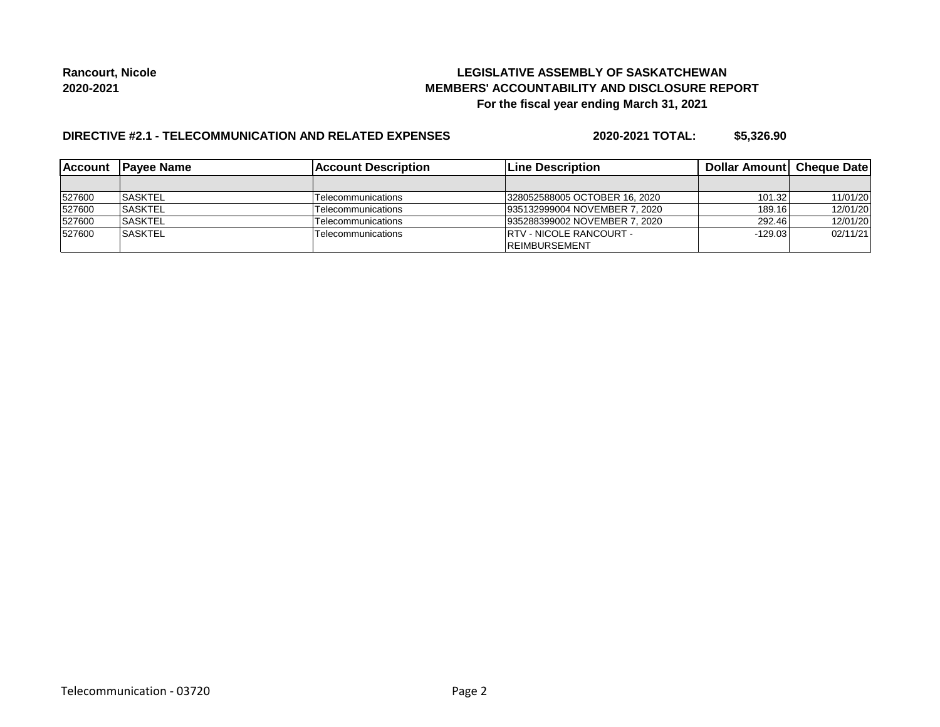## **LEGISLATIVE ASSEMBLY OF SASKATCHEWAN MEMBERS' ACCOUNTABILITY AND DISCLOSURE REPORT For the fiscal year ending March 31, 2021**

# **DIRECTIVE #2.1 - TELECOMMUNICATION AND RELATED EXPENSES**

**2020-2021 TOTAL: \$5,326.90**

| <b>IAccount</b> | <b>IPavee Name</b> | <b>Account Description</b> | <b>Line Description</b>         | <b>Dollar Amountl Cheque Date</b> |          |
|-----------------|--------------------|----------------------------|---------------------------------|-----------------------------------|----------|
|                 |                    |                            |                                 |                                   |          |
| 527600          | <b>SASKTEL</b>     | Telecommunications         | 328052588005 OCTOBER 16, 2020   | 101.32                            | 11/01/20 |
| 527600          | <b>ISASKTEL</b>    | Telecommunications         | 935132999004 NOVEMBER 7, 2020   | 189.16                            | 12/01/20 |
| 527600          | <b>SASKTEL</b>     | Telecommunications         | 935288399002 NOVEMBER 7, 2020   | 292.46                            | 12/01/20 |
| 527600          | <b>SASKTEL</b>     | <b>Telecommunications</b>  | <b>IRTV - NICOLE RANCOURT -</b> | $-129.03$                         | 02/11/21 |
|                 |                    |                            | <b>IREIMBURSEMENT</b>           |                                   |          |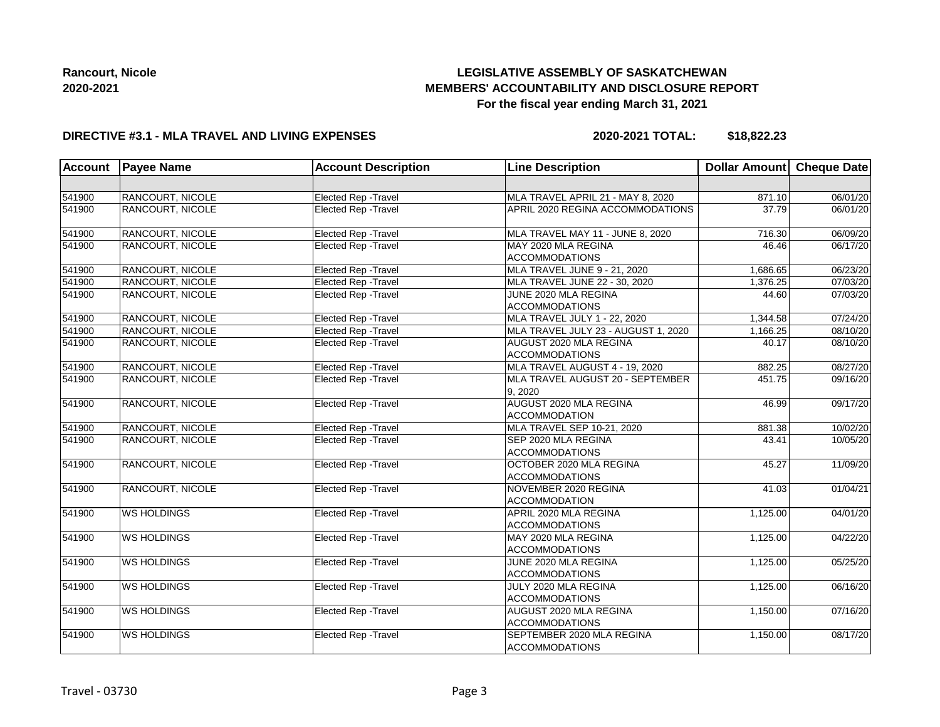# **LEGISLATIVE ASSEMBLY OF SASKATCHEWAN MEMBERS' ACCOUNTABILITY AND DISCLOSURE REPORT For the fiscal year ending March 31, 2021**

### **DIRECTIVE #3.1 - MLA TRAVEL AND LIVING EXPENSES**

**2020-2021 TOTAL: \$18,822.23**

| <b>Account</b> | <b>Payee Name</b>  | <b>Account Description</b>  | <b>Line Description</b>                            | Dollar Amount Cheque Date |          |
|----------------|--------------------|-----------------------------|----------------------------------------------------|---------------------------|----------|
|                |                    |                             |                                                    |                           |          |
| 541900         | RANCOURT, NICOLE   | Elected Rep - Travel        | MLA TRAVEL APRIL 21 - MAY 8, 2020                  | 871.10                    | 06/01/20 |
| 541900         | RANCOURT, NICOLE   | Elected Rep - Travel        | APRIL 2020 REGINA ACCOMMODATIONS                   | 37.79                     | 06/01/20 |
| 541900         | RANCOURT, NICOLE   | Elected Rep - Travel        | MLA TRAVEL MAY 11 - JUNE 8, 2020                   | 716.30                    | 06/09/20 |
| 541900         | RANCOURT, NICOLE   | Elected Rep - Travel        | MAY 2020 MLA REGINA<br><b>ACCOMMODATIONS</b>       | 46.46                     | 06/17/20 |
| 541900         | RANCOURT, NICOLE   | Elected Rep - Travel        | MLA TRAVEL JUNE 9 - 21, 2020                       | 1,686.65                  | 06/23/20 |
| 541900         | RANCOURT, NICOLE   | Elected Rep - Travel        | MLA TRAVEL JUNE 22 - 30, 2020                      | 1,376.25                  | 07/03/20 |
| 541900         | RANCOURT, NICOLE   | Elected Rep - Travel        | JUNE 2020 MLA REGINA<br><b>ACCOMMODATIONS</b>      | 44.60                     | 07/03/20 |
| 541900         | RANCOURT, NICOLE   | Elected Rep - Travel        | MLA TRAVEL JULY 1 - 22, 2020                       | 1,344.58                  | 07/24/20 |
| 541900         | RANCOURT, NICOLE   | Elected Rep - Travel        | MLA TRAVEL JULY 23 - AUGUST 1, 2020                | 1,166.25                  | 08/10/20 |
| 541900         | RANCOURT, NICOLE   | Elected Rep - Travel        | AUGUST 2020 MLA REGINA<br><b>ACCOMMODATIONS</b>    | 40.17                     | 08/10/20 |
| 541900         | RANCOURT, NICOLE   | Elected Rep - Travel        | MLA TRAVEL AUGUST 4 - 19, 2020                     | 882.25                    | 08/27/20 |
| 541900         | RANCOURT, NICOLE   | Elected Rep - Travel        | MLA TRAVEL AUGUST 20 - SEPTEMBER<br>9.2020         | 451.75                    | 09/16/20 |
| 541900         | RANCOURT, NICOLE   | Elected Rep - Travel        | AUGUST 2020 MLA REGINA<br><b>ACCOMMODATION</b>     | 46.99                     | 09/17/20 |
| 541900         | RANCOURT, NICOLE   | Elected Rep - Travel        | <b>MLA TRAVEL SEP 10-21, 2020</b>                  | 881.38                    | 10/02/20 |
| 541900         | RANCOURT, NICOLE   | Elected Rep - Travel        | SEP 2020 MLA REGINA<br><b>ACCOMMODATIONS</b>       | 43.41                     | 10/05/20 |
| 541900         | RANCOURT, NICOLE   | <b>Elected Rep - Travel</b> | OCTOBER 2020 MLA REGINA<br><b>ACCOMMODATIONS</b>   | 45.27                     | 11/09/20 |
| 541900         | RANCOURT, NICOLE   | <b>Elected Rep - Travel</b> | NOVEMBER 2020 REGINA<br><b>ACCOMMODATION</b>       | 41.03                     | 01/04/21 |
| 541900         | <b>WS HOLDINGS</b> | Elected Rep - Travel        | APRIL 2020 MLA REGINA<br><b>ACCOMMODATIONS</b>     | 1,125.00                  | 04/01/20 |
| 541900         | <b>WS HOLDINGS</b> | Elected Rep - Travel        | MAY 2020 MLA REGINA<br><b>ACCOMMODATIONS</b>       | 1,125.00                  | 04/22/20 |
| 541900         | <b>WS HOLDINGS</b> | <b>Elected Rep - Travel</b> | JUNE 2020 MLA REGINA<br><b>ACCOMMODATIONS</b>      | 1,125.00                  | 05/25/20 |
| 541900         | <b>WS HOLDINGS</b> | Elected Rep - Travel        | JULY 2020 MLA REGINA<br><b>ACCOMMODATIONS</b>      | 1,125.00                  | 06/16/20 |
| 541900         | <b>WS HOLDINGS</b> | Elected Rep - Travel        | AUGUST 2020 MLA REGINA<br><b>ACCOMMODATIONS</b>    | 1,150.00                  | 07/16/20 |
| 541900         | <b>WS HOLDINGS</b> | Elected Rep - Travel        | SEPTEMBER 2020 MLA REGINA<br><b>ACCOMMODATIONS</b> | 1,150.00                  | 08/17/20 |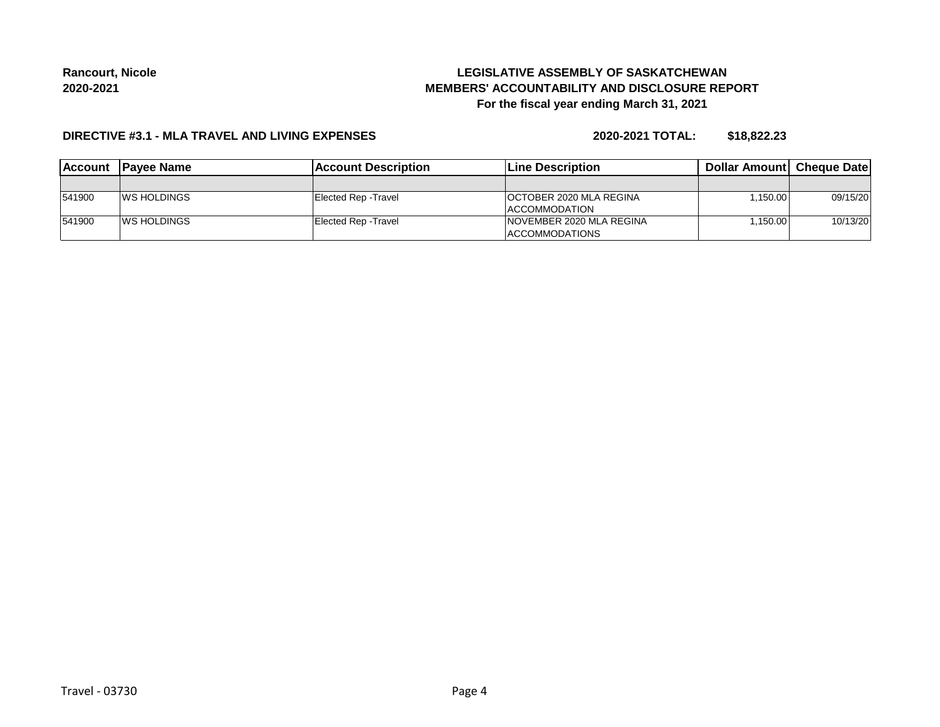# **LEGISLATIVE ASSEMBLY OF SASKATCHEWAN MEMBERS' ACCOUNTABILITY AND DISCLOSURE REPORT For the fiscal year ending March 31, 2021**

### **DIRECTIVE #3.1 - MLA TRAVEL AND LIVING EXPENSES**

**2020-2021 TOTAL: \$18,822.23**

| <b>IAccount</b> | <b>IPavee Name</b>  | lAccount Description | <b>Line Description</b>        | <b>Dollar Amountl Cheque Date</b> |          |
|-----------------|---------------------|----------------------|--------------------------------|-----------------------------------|----------|
|                 |                     |                      |                                |                                   |          |
| 541900          | <b>IWS HOLDINGS</b> | Elected Rep - Travel | <b>OCTOBER 2020 MLA REGINA</b> | ا150.00 . ا                       | 09/15/20 |
|                 |                     |                      | ACCOMMODATION                  |                                   |          |
| 541900          | <b>WS HOLDINGS</b>  | Elected Rep - Travel | INOVEMBER 2020 MLA REGINA      | ا150.00 . ا                       | 10/13/20 |
|                 |                     |                      | <b>ACCOMMODATIONS</b>          |                                   |          |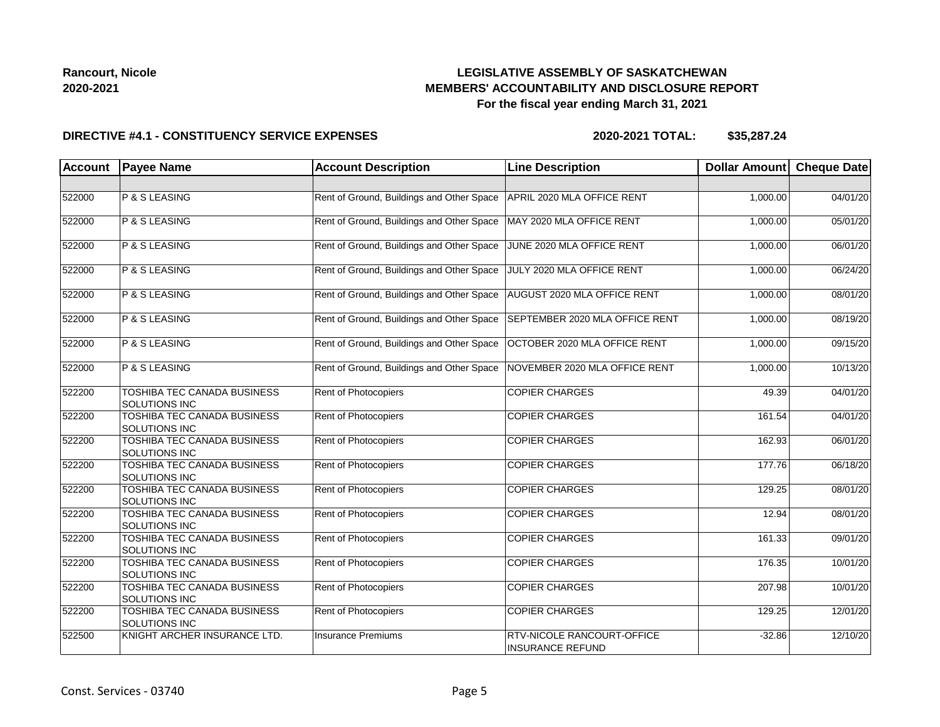## **LEGISLATIVE ASSEMBLY OF SASKATCHEWAN MEMBERS' ACCOUNTABILITY AND DISCLOSURE REPORT For the fiscal year ending March 31, 2021**

#### **DIRECTIVE #4.1 - CONSTITUENCY SERVICE EXPENSES**

| <b>Account</b> | <b>Payee Name</b>                                          | <b>Account Description</b>                | <b>Line Description</b>                                      | <b>Dollar Amount</b> | <b>Cheque Date</b> |
|----------------|------------------------------------------------------------|-------------------------------------------|--------------------------------------------------------------|----------------------|--------------------|
|                |                                                            |                                           |                                                              |                      |                    |
| 522000         | P & S LEASING                                              | Rent of Ground, Buildings and Other Space | APRIL 2020 MLA OFFICE RENT                                   | 1,000.00             | 04/01/20           |
| 522000         | P & S LEASING                                              | Rent of Ground, Buildings and Other Space | MAY 2020 MLA OFFICE RENT                                     | 1,000.00             | 05/01/20           |
| 522000         | P & S LEASING                                              | Rent of Ground, Buildings and Other Space | JUNE 2020 MLA OFFICE RENT                                    | 1,000.00             | 06/01/20           |
| 522000         | P & S LEASING                                              | Rent of Ground, Buildings and Other Space | JULY 2020 MLA OFFICE RENT                                    | 1,000.00             | 06/24/20           |
| 522000         | P & S LEASING                                              | Rent of Ground, Buildings and Other Space | AUGUST 2020 MLA OFFICE RENT                                  | 1,000.00             | 08/01/20           |
| 522000         | P & S LEASING                                              | Rent of Ground, Buildings and Other Space | SEPTEMBER 2020 MLA OFFICE RENT                               | 1,000.00             | 08/19/20           |
| 522000         | P & S LEASING                                              | Rent of Ground, Buildings and Other Space | OCTOBER 2020 MLA OFFICE RENT                                 | 1,000.00             | 09/15/20           |
| 522000         | P & S LEASING                                              | Rent of Ground, Buildings and Other Space | NOVEMBER 2020 MLA OFFICE RENT                                | 1,000.00             | 10/13/20           |
| 522200         | TOSHIBA TEC CANADA BUSINESS<br><b>SOLUTIONS INC</b>        | <b>Rent of Photocopiers</b>               | <b>COPIER CHARGES</b>                                        | 49.39                | 04/01/20           |
| 522200         | TOSHIBA TEC CANADA BUSINESS<br>SOLUTIONS INC               | Rent of Photocopiers                      | <b>COPIER CHARGES</b>                                        | 161.54               | 04/01/20           |
| 522200         | <b>TOSHIBA TEC CANADA BUSINESS</b><br>SOLUTIONS INC        | Rent of Photocopiers                      | <b>COPIER CHARGES</b>                                        | 162.93               | 06/01/20           |
| 522200         | TOSHIBA TEC CANADA BUSINESS<br><b>SOLUTIONS INC</b>        | <b>Rent of Photocopiers</b>               | <b>COPIER CHARGES</b>                                        | 177.76               | 06/18/20           |
| 522200         | TOSHIBA TEC CANADA BUSINESS<br><b>SOLUTIONS INC</b>        | <b>Rent of Photocopiers</b>               | <b>COPIER CHARGES</b>                                        | 129.25               | 08/01/20           |
| 522200         | TOSHIBA TEC CANADA BUSINESS<br><b>SOLUTIONS INC</b>        | <b>Rent of Photocopiers</b>               | <b>COPIER CHARGES</b>                                        | 12.94                | 08/01/20           |
| 522200         | TOSHIBA TEC CANADA BUSINESS<br>SOLUTIONS INC               | Rent of Photocopiers                      | <b>COPIER CHARGES</b>                                        | 161.33               | 09/01/20           |
| 522200         | TOSHIBA TEC CANADA BUSINESS<br><b>SOLUTIONS INC</b>        | Rent of Photocopiers                      | <b>COPIER CHARGES</b>                                        | 176.35               | 10/01/20           |
| 522200         | <b>TOSHIBA TEC CANADA BUSINESS</b><br><b>SOLUTIONS INC</b> | Rent of Photocopiers                      | <b>COPIER CHARGES</b>                                        | 207.98               | 10/01/20           |
| 522200         | TOSHIBA TEC CANADA BUSINESS<br><b>SOLUTIONS INC</b>        | <b>Rent of Photocopiers</b>               | <b>COPIER CHARGES</b>                                        | 129.25               | 12/01/20           |
| 522500         | KNIGHT ARCHER INSURANCE LTD.                               | <b>Insurance Premiums</b>                 | <b>RTV-NICOLE RANCOURT-OFFICE</b><br><b>INSURANCE REFUND</b> | $-32.86$             | 12/10/20           |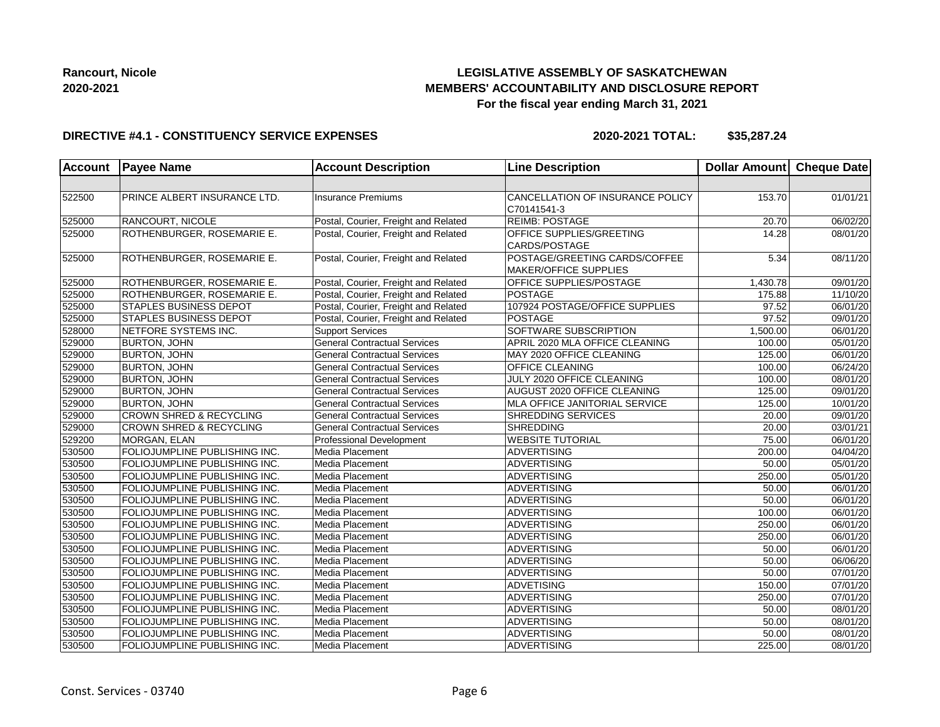## **LEGISLATIVE ASSEMBLY OF SASKATCHEWAN MEMBERS' ACCOUNTABILITY AND DISCLOSURE REPORT For the fiscal year ending March 31, 2021**

### **DIRECTIVE #4.1 - CONSTITUENCY SERVICE EXPENSES**

| <b>Account</b> | <b>Payee Name</b>                  | <b>Account Description</b>           | <b>Line Description</b>                                | Dollar Amount     | <b>Cheque Date</b> |
|----------------|------------------------------------|--------------------------------------|--------------------------------------------------------|-------------------|--------------------|
|                |                                    |                                      |                                                        |                   |                    |
| 522500         | PRINCE ALBERT INSURANCE LTD.       | <b>Insurance Premiums</b>            | CANCELLATION OF INSURANCE POLICY<br>C70141541-3        | 153.70            | 01/01/21           |
| 525000         | RANCOURT, NICOLE                   | Postal, Courier, Freight and Related | <b>REIMB: POSTAGE</b>                                  | 20.70             | 06/02/20           |
| 525000         | <b>ROTHENBURGER, ROSEMARIE E.</b>  | Postal, Courier, Freight and Related | OFFICE SUPPLIES/GREETING<br>CARDS/POSTAGE              | 14.28             | 08/01/20           |
| 525000         | ROTHENBURGER, ROSEMARIE E.         | Postal, Courier, Freight and Related | POSTAGE/GREETING CARDS/COFFEE<br>MAKER/OFFICE SUPPLIES | $\overline{5.34}$ | 08/11/20           |
| 525000         | ROTHENBURGER, ROSEMARIE E.         | Postal, Courier, Freight and Related | OFFICE SUPPLIES/POSTAGE                                | 1,430.78          | 09/01/20           |
| 525000         | ROTHENBURGER, ROSEMARIE E.         | Postal, Courier, Freight and Related | POSTAGE                                                | 175.88            | 11/10/20           |
| 525000         | STAPLES BUSINESS DEPOT             | Postal, Courier, Freight and Related | 107924 POSTAGE/OFFICE SUPPLIES                         | 97.52             | 06/01/20           |
| 525000         | <b>STAPLES BUSINESS DEPOT</b>      | Postal, Courier, Freight and Related | <b>POSTAGE</b>                                         | 97.52             | 09/01/20           |
| 528000         | NETFORE SYSTEMS INC.               | <b>Support Services</b>              | SOFTWARE SUBSCRIPTION                                  | 1,500.00          | 06/01/20           |
| 529000         | <b>BURTON, JOHN</b>                | <b>General Contractual Services</b>  | APRIL 2020 MLA OFFICE CLEANING                         | 100.00            | 05/01/20           |
| 529000         | <b>BURTON, JOHN</b>                | <b>General Contractual Services</b>  | MAY 2020 OFFICE CLEANING                               | 125.00            | 06/01/20           |
| 529000         | <b>BURTON, JOHN</b>                | <b>General Contractual Services</b>  | <b>OFFICE CLEANING</b>                                 | 100.00            | 06/24/20           |
| 529000         | <b>BURTON, JOHN</b>                | <b>General Contractual Services</b>  | JULY 2020 OFFICE CLEANING                              | 100.00            | 08/01/20           |
| 529000         | <b>BURTON, JOHN</b>                | <b>General Contractual Services</b>  | AUGUST 2020 OFFICE CLEANING                            | 125.00            | 09/01/20           |
| 529000         | <b>BURTON, JOHN</b>                | <b>General Contractual Services</b>  | <b>MLA OFFICE JANITORIAL SERVICE</b>                   | 125.00            | 10/01/20           |
| 529000         | <b>CROWN SHRED &amp; RECYCLING</b> | <b>General Contractual Services</b>  | <b>SHREDDING SERVICES</b>                              | 20.00             | 09/01/20           |
| 529000         | <b>CROWN SHRED &amp; RECYCLING</b> | <b>General Contractual Services</b>  | <b>SHREDDING</b>                                       | 20.00             | 03/01/21           |
| 529200         | MORGAN, ELAN                       | <b>Professional Development</b>      | <b>WEBSITE TUTORIAL</b>                                | 75.00             | 06/01/20           |
| 530500         | FOLIOJUMPLINE PUBLISHING INC.      | Media Placement                      | ADVERTISING                                            | 200.00            | 04/04/20           |
| 530500         | FOLIOJUMPLINE PUBLISHING INC.      | Media Placement                      | <b>ADVERTISING</b>                                     | 50.00             | 05/01/20           |
| 530500         | FOLIOJUMPLINE PUBLISHING INC.      | Media Placement                      | <b>ADVERTISING</b>                                     | 250.00            | 05/01/20           |
| 530500         | FOLIOJUMPLINE PUBLISHING INC.      | Media Placement                      | <b>ADVERTISING</b>                                     | 50.00             | 06/01/20           |
| 530500         | FOLIOJUMPLINE PUBLISHING INC.      | Media Placement                      | ADVERTISING                                            | 50.00             | 06/01/20           |
| 530500         | FOLIOJUMPLINE PUBLISHING INC.      | Media Placement                      | ADVERTISING                                            | 100.00            | 06/01/20           |
| 530500         | FOLIOJUMPLINE PUBLISHING INC.      | Media Placement                      | ADVERTISING                                            | 250.00            | 06/01/20           |
| 530500         | FOLIOJUMPLINE PUBLISHING INC.      | Media Placement                      | <b>ADVERTISING</b>                                     | 250.00            | 06/01/20           |
| 530500         | FOLIOJUMPLINE PUBLISHING INC.      | Media Placement                      | <b>ADVERTISING</b>                                     | 50.00             | 06/01/20           |
| 530500         | FOLIOJUMPLINE PUBLISHING INC.      | Media Placement                      | ADVERTISING                                            | 50.00             | 06/06/20           |
| 530500         | FOLIOJUMPLINE PUBLISHING INC.      | Media Placement                      | <b>ADVERTISING</b>                                     | 50.00             | 07/01/20           |
| 530500         | FOLIOJUMPLINE PUBLISHING INC.      | Media Placement                      | <b>ADVETISING</b>                                      | 150.00            | 07/01/20           |
| 530500         | FOLIOJUMPLINE PUBLISHING INC.      | Media Placement                      | <b>ADVERTISING</b>                                     | 250.00            | 07/01/20           |
| 530500         | FOLIOJUMPLINE PUBLISHING INC.      | Media Placement                      | <b>ADVERTISING</b>                                     | 50.00             | 08/01/20           |
| 530500         | FOLIOJUMPLINE PUBLISHING INC.      | Media Placement                      | <b>ADVERTISING</b>                                     | 50.00             | 08/01/20           |
| 530500         | FOLIOJUMPLINE PUBLISHING INC.      | Media Placement                      | <b>ADVERTISING</b>                                     | 50.00             | 08/01/20           |
| 530500         | FOLIOJUMPLINE PUBLISHING INC.      | Media Placement                      | <b>ADVERTISING</b>                                     | 225.00            | 08/01/20           |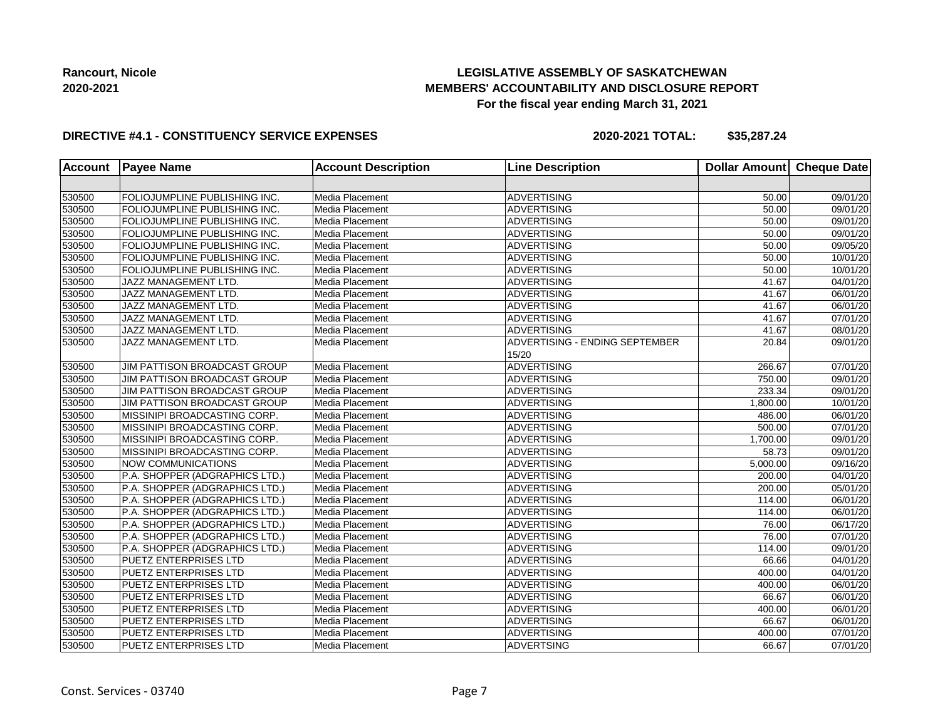## **LEGISLATIVE ASSEMBLY OF SASKATCHEWAN MEMBERS' ACCOUNTABILITY AND DISCLOSURE REPORT For the fiscal year ending March 31, 2021**

### **DIRECTIVE #4.1 - CONSTITUENCY SERVICE EXPENSES**

| <b>Account</b> | <b>Payee Name</b>                   | <b>Account Description</b> | <b>Line Description</b>                 | <b>Dollar Amount</b> | Cheque Date           |
|----------------|-------------------------------------|----------------------------|-----------------------------------------|----------------------|-----------------------|
|                |                                     |                            |                                         |                      |                       |
| 530500         | FOLIOJUMPLINE PUBLISHING INC.       | Media Placement            | ADVERTISING                             | 50.00                | 09/01/20              |
| 530500         | FOLIOJUMPLINE PUBLISHING INC.       | Media Placement            | <b>ADVERTISING</b>                      | 50.00                | 09/01/20              |
| 530500         | FOLIOJUMPLINE PUBLISHING INC.       | Media Placement            | ADVERTISING                             | 50.00                | 09/01/20              |
| 530500         | FOLIOJUMPLINE PUBLISHING INC.       | Media Placement            | ADVERTISING                             | 50.00                | 09/01/20              |
| 530500         | FOLIOJUMPLINE PUBLISHING INC.       | Media Placement            | ADVERTISING                             | 50.00                | 09/05/20              |
| 530500         | FOLIOJUMPLINE PUBLISHING INC.       | Media Placement            | ADVERTISING                             | 50.00                | 10/01/20              |
| 530500         | FOLIOJUMPLINE PUBLISHING INC.       | Media Placement            | <b>ADVERTISING</b>                      | 50.00                | 10/01/20              |
| 530500         | JAZZ MANAGEMENT LTD.                | Media Placement            | <b>ADVERTISING</b>                      | 41.67                | 04/01/20              |
| 530500         | JAZZ MANAGEMENT LTD.                | Media Placement            | <b>ADVERTISING</b>                      | 41.67                | 06/01/20              |
| 530500         | JAZZ MANAGEMENT LTD.                | Media Placement            | ADVERTISING                             | 41.67                | 06/01/20              |
| 530500         | JAZZ MANAGEMENT LTD.                | Media Placement            | ADVERTISING                             | 41.67                | 07/01/20              |
| 530500         | JAZZ MANAGEMENT LTD.                | Media Placement            | <b>ADVERTISING</b>                      | 41.67                | 08/01/20              |
| 530500         | JAZZ MANAGEMENT LTD.                | Media Placement            | ADVERTISING - ENDING SEPTEMBER<br>15/20 | 20.84                | 09/01/20              |
| 530500         | JIM PATTISON BROADCAST GROUP        | Media Placement            | ADVERTISING                             | 266.67               | 07/01/20              |
| 530500         | JIM PATTISON BROADCAST GROUP        | Media Placement            | ADVERTISING                             | 750.00               | 09/01/20              |
| 530500         | <b>JIM PATTISON BROADCAST GROUP</b> | Media Placement            | ADVERTISING                             | 233.34               | 09/01/20              |
| 530500         | JIM PATTISON BROADCAST GROUP        | Media Placement            | ADVERTISING                             | 1,800.00             | 10/01/20              |
| 530500         | MISSINIPI BROADCASTING CORP.        | Media Placement            | ADVERTISING                             | 486.00               | 06/01/20              |
| 530500         | MISSINIPI BROADCASTING CORP.        | Media Placement            | ADVERTISING                             | 500.00               | 07/01/20              |
| 530500         | MISSINIPI BROADCASTING CORP.        | Media Placement            | ADVERTISING                             | 1,700.00             | 09/01/20              |
| 530500         | MISSINIPI BROADCASTING CORP.        | Media Placement            | ADVERTISING                             | 58.73                | 09/01/20              |
| 530500         | <b>NOW COMMUNICATIONS</b>           | Media Placement            | <b>ADVERTISING</b>                      | 5,000.00             | 09/16/20              |
| 530500         | P.A. SHOPPER (ADGRAPHICS LTD.)      | Media Placement            | <b>ADVERTISING</b>                      | 200.00               | 04/01/20              |
| 530500         | P.A. SHOPPER (ADGRAPHICS LTD.)      | Media Placement            | <b>ADVERTISING</b>                      | 200.00               | 05/01/20              |
| 530500         | P.A. SHOPPER (ADGRAPHICS LTD.)      | Media Placement            | ADVERTISING                             | 114.00               | 06/01/20              |
| 530500         | P.A. SHOPPER (ADGRAPHICS LTD.)      | Media Placement            | ADVERTISING                             | 114.00               | 06/01/20              |
| 530500         | P.A. SHOPPER (ADGRAPHICS LTD.)      | Media Placement            | ADVERTISING                             | 76.00                | 06/17/20              |
| 530500         | P.A. SHOPPER (ADGRAPHICS LTD.)      | Media Placement            | <b>ADVERTISING</b>                      | 76.00                | 07/01/20              |
| 530500         | P.A. SHOPPER (ADGRAPHICS LTD.)      | Media Placement            | <b>ADVERTISING</b>                      | 114.00               | 09/01/20              |
| 530500         | <b>PUETZ ENTERPRISES LTD</b>        | Media Placement            | <b>ADVERTISING</b>                      | 66.66                | $\overline{04/0}1/20$ |
| 530500         | <b>PUETZ ENTERPRISES LTD</b>        | Media Placement            | <b>ADVERTISING</b>                      | 400.00               | 04/01/20              |
| 530500         | <b>PUETZ ENTERPRISES LTD</b>        | Media Placement            | ADVERTISING                             | 400.00               | 06/01/20              |
| 530500         | <b>PUETZ ENTERPRISES LTD</b>        | Media Placement            | <b>ADVERTISING</b>                      | 66.67                | 06/01/20              |
| 530500         | <b>PUETZ ENTERPRISES LTD</b>        | Media Placement            | <b>ADVERTISING</b>                      | 400.00               | 06/01/20              |
| 530500         | <b>PUETZ ENTERPRISES LTD</b>        | Media Placement            | <b>ADVERTISING</b>                      | 66.67                | 06/01/20              |
| 530500         | <b>PUETZ ENTERPRISES LTD</b>        | Media Placement            | <b>ADVERTISING</b>                      | 400.00               | 07/01/20              |
| 530500         | <b>PUETZ ENTERPRISES LTD</b>        | Media Placement            | ADVERTSING                              | 66.67                | 07/01/20              |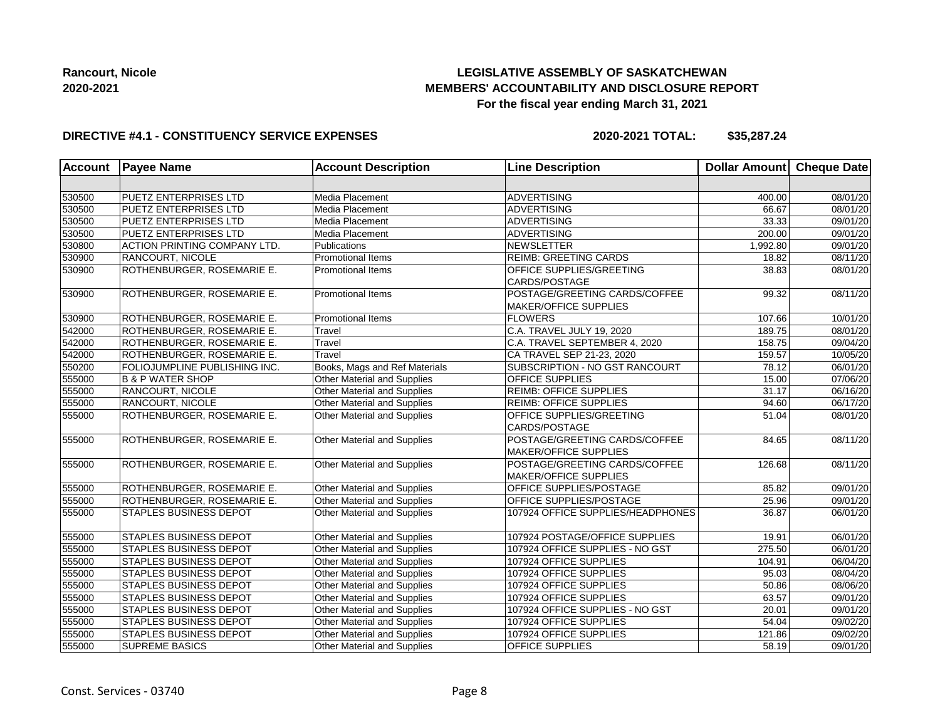## **LEGISLATIVE ASSEMBLY OF SASKATCHEWAN MEMBERS' ACCOUNTABILITY AND DISCLOSURE REPORT For the fiscal year ending March 31, 2021**

### **DIRECTIVE #4.1 - CONSTITUENCY SERVICE EXPENSES**

| <b>Account</b> | <b>Payee Name</b>                    | <b>Account Description</b>         | <b>Line Description</b>                                       | Dollar Amount Cheque Date |                       |
|----------------|--------------------------------------|------------------------------------|---------------------------------------------------------------|---------------------------|-----------------------|
|                |                                      |                                    |                                                               |                           |                       |
| 530500         | <b>PUETZ ENTERPRISES LTD</b>         | Media Placement                    | <b>ADVERTISING</b>                                            | 400.00                    | 08/01/20              |
| 530500         | <b>PUETZ ENTERPRISES LTD</b>         | Media Placement                    | ADVERTISING                                                   | 66.67                     | 08/01/20              |
| 530500         | <b>PUETZ ENTERPRISES LTD</b>         | Media Placement                    | ADVERTISING                                                   | 33.33                     | 09/01/20              |
| 530500         | <b>PUETZ ENTERPRISES LTD</b>         | Media Placement                    | <b>ADVERTISING</b>                                            | 200.00                    | 09/01/20              |
| 530800         | <b>ACTION PRINTING COMPANY LTD.</b>  | Publications                       | <b>NEWSLETTER</b>                                             | 1,992.80                  | 09/01/20              |
| 530900         | <b>RANCOURT, NICOLE</b>              | <b>Promotional Items</b>           | <b>REIMB: GREETING CARDS</b>                                  | 18.82                     | 08/11/20              |
| 530900         | ROTHENBURGER, ROSEMARIE E.           | <b>Promotional Items</b>           | OFFICE SUPPLIES/GREETING<br>CARDS/POSTAGE                     | 38.83                     | 08/01/20              |
| 530900         | ROTHENBURGER, ROSEMARIE E.           | <b>Promotional Items</b>           | POSTAGE/GREETING CARDS/COFFEE<br><b>MAKER/OFFICE SUPPLIES</b> | 99.32                     | $\overline{08/1}1/20$ |
| 530900         | ROTHENBURGER, ROSEMARIE E.           | <b>Promotional Items</b>           | <b>FLOWERS</b>                                                | 107.66                    | 10/01/20              |
| 542000         | ROTHENBURGER, ROSEMARIE E.           | Travel                             | C.A. TRAVEL JULY 19, 2020                                     | 189.75                    | 08/01/20              |
| 542000         | ROTHENBURGER, ROSEMARIE E.           | Travel                             | C.A. TRAVEL SEPTEMBER 4, 2020                                 | 158.75                    | 09/04/20              |
| 542000         | ROTHENBURGER, ROSEMARIE E.           | Travel                             | CA TRAVEL SEP 21-23, 2020                                     | 159.57                    | 10/05/20              |
| 550200         | <b>FOLIOJUMPLINE PUBLISHING INC.</b> | Books, Mags and Ref Materials      | SUBSCRIPTION - NO GST RANCOURT                                | 78.12                     | 06/01/20              |
| 555000         | <b>B &amp; P WATER SHOP</b>          | Other Material and Supplies        | OFFICE SUPPLIES                                               | 15.00                     | 07/06/20              |
| 555000         | <b>RANCOURT, NICOLE</b>              | Other Material and Supplies        | <b>REIMB: OFFICE SUPPLIES</b>                                 | 31.17                     | 06/16/20              |
| 555000         | <b>RANCOURT, NICOLE</b>              | <b>Other Material and Supplies</b> | <b>REIMB: OFFICE SUPPLIES</b>                                 | 94.60                     | 06/17/20              |
| 555000         | ROTHENBURGER, ROSEMARIE E.           | Other Material and Supplies        | OFFICE SUPPLIES/GREETING<br>CARDS/POSTAGE                     | 51.04                     | 08/01/20              |
| 555000         | ROTHENBURGER, ROSEMARIE E.           | Other Material and Supplies        | POSTAGE/GREETING CARDS/COFFEE<br><b>MAKER/OFFICE SUPPLIES</b> | 84.65                     | 08/11/20              |
| 555000         | ROTHENBURGER, ROSEMARIE E.           | Other Material and Supplies        | POSTAGE/GREETING CARDS/COFFEE<br>MAKER/OFFICE SUPPLIES        | 126.68                    | 08/11/20              |
| 555000         | ROTHENBURGER, ROSEMARIE E.           | Other Material and Supplies        | OFFICE SUPPLIES/POSTAGE                                       | 85.82                     | $\overline{09/0}1/20$ |
| 555000         | ROTHENBURGER, ROSEMARIE E.           | Other Material and Supplies        | OFFICE SUPPLIES/POSTAGE                                       | 25.96                     | 09/01/20              |
| 555000         | STAPLES BUSINESS DEPOT               | Other Material and Supplies        | 107924 OFFICE SUPPLIES/HEADPHONES                             | 36.87                     | 06/01/20              |
| 555000         | <b>STAPLES BUSINESS DEPOT</b>        | Other Material and Supplies        | 107924 POSTAGE/OFFICE SUPPLIES                                | 19.91                     | 06/01/20              |
| 555000         | STAPLES BUSINESS DEPOT               | <b>Other Material and Supplies</b> | 107924 OFFICE SUPPLIES - NO GST                               | 275.50                    | 06/01/20              |
| 555000         | <b>STAPLES BUSINESS DEPOT</b>        | Other Material and Supplies        | 107924 OFFICE SUPPLIES                                        | 104.91                    | 06/04/20              |
| 555000         | <b>STAPLES BUSINESS DEPOT</b>        | Other Material and Supplies        | 107924 OFFICE SUPPLIES                                        | 95.03                     | 08/04/20              |
| 555000         | <b>STAPLES BUSINESS DEPOT</b>        | Other Material and Supplies        | 107924 OFFICE SUPPLIES                                        | 50.86                     | 08/06/20              |
| 555000         | <b>STAPLES BUSINESS DEPOT</b>        | Other Material and Supplies        | 107924 OFFICE SUPPLIES                                        | 63.57                     | 09/01/20              |
| 555000         | <b>STAPLES BUSINESS DEPOT</b>        | Other Material and Supplies        | 107924 OFFICE SUPPLIES - NO GST                               | 20.01                     | 09/01/20              |
| 555000         | <b>STAPLES BUSINESS DEPOT</b>        | <b>Other Material and Supplies</b> | 107924 OFFICE SUPPLIES                                        | 54.04                     | 09/02/20              |
| 555000         | <b>STAPLES BUSINESS DEPOT</b>        | Other Material and Supplies        | 107924 OFFICE SUPPLIES                                        | 121.86                    | 09/02/20              |
| 555000         | <b>SUPREME BASICS</b>                | Other Material and Supplies        | OFFICE SUPPLIES                                               | 58.19                     | 09/01/20              |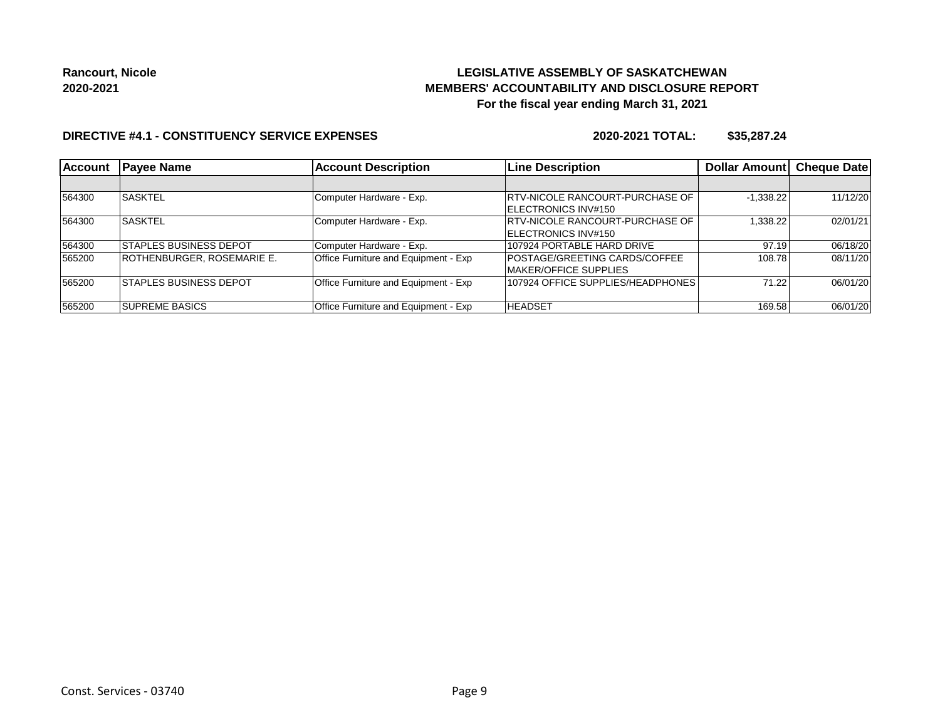## **LEGISLATIVE ASSEMBLY OF SASKATCHEWAN MEMBERS' ACCOUNTABILITY AND DISCLOSURE REPORT For the fiscal year ending March 31, 2021**

### **DIRECTIVE #4.1 - CONSTITUENCY SERVICE EXPENSES**

| <b>Account</b> | <b>Payee Name</b>              | <b>Account Description</b>           | <b>Line Description</b>                 | <b>Dollar Amount</b> | <b>Cheque Date</b> |
|----------------|--------------------------------|--------------------------------------|-----------------------------------------|----------------------|--------------------|
|                |                                |                                      |                                         |                      |                    |
| 564300         | <b>SASKTEL</b>                 | Computer Hardware - Exp.             | <b>IRTV-NICOLE RANCOURT-PURCHASE OF</b> | $-1,338.22$          | 11/12/20           |
|                |                                |                                      | ELECTRONICS INV#150                     |                      |                    |
| 564300         | <b>SASKTEL</b>                 | Computer Hardware - Exp.             | <b>IRTV-NICOLE RANCOURT-PURCHASE OF</b> | 1,338.22             | 02/01/21           |
|                |                                |                                      | <b>IELECTRONICS INV#150</b>             |                      |                    |
| 564300         | <b>STAPLES BUSINESS DEPOT</b>  | Computer Hardware - Exp.             | 107924 PORTABLE HARD DRIVE              | 97.19                | 06/18/20           |
| 565200         | ROTHENBURGER, ROSEMARIE E.     | Office Furniture and Equipment - Exp | <b>POSTAGE/GREETING CARDS/COFFEE</b>    | 108.78               | 08/11/20           |
|                |                                |                                      | MAKER/OFFICE SUPPLIES                   |                      |                    |
| 565200         | <b>ISTAPLES BUSINESS DEPOT</b> | Office Furniture and Equipment - Exp | 107924 OFFICE SUPPLIES/HEADPHONES       | 71.22                | 06/01/20           |
|                |                                |                                      |                                         |                      |                    |
| 565200         | <b>SUPREME BASICS</b>          | Office Furniture and Equipment - Exp | <b>HEADSET</b>                          | 169.58               | 06/01/20           |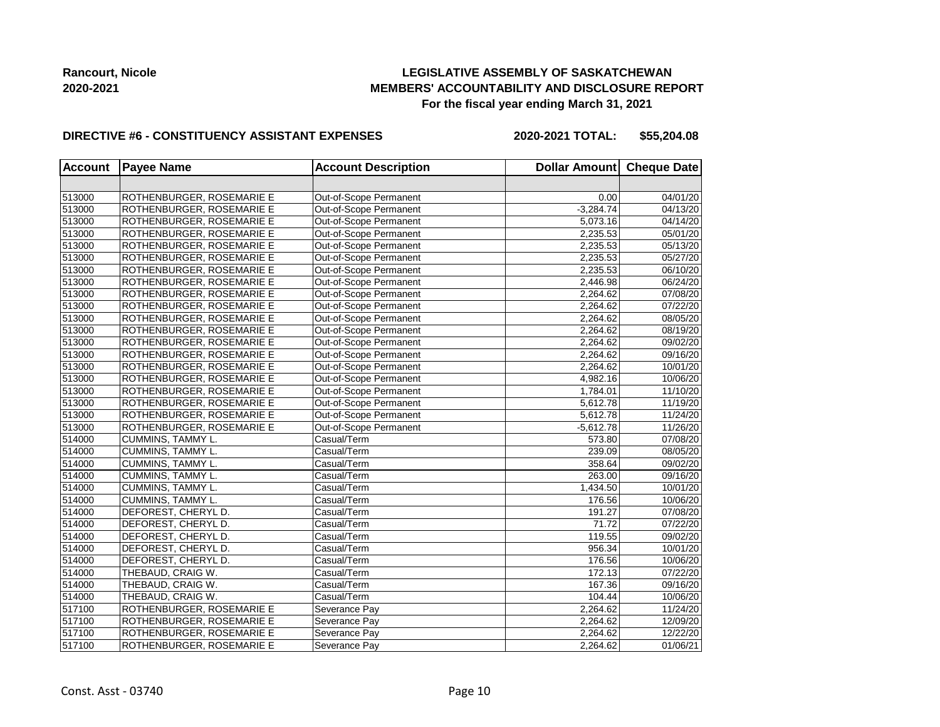## **LEGISLATIVE ASSEMBLY OF SASKATCHEWAN MEMBERS' ACCOUNTABILITY AND DISCLOSURE REPORT For the fiscal year ending March 31, 2021**

#### **DIRECTIVE #6 - CONSTITUENCY ASSISTANT EXPENSES**

**2020-2021 TOTAL: \$55,204.08**

| <b>Account</b> | <b>Payee Name</b>         | <b>Account Description</b> | Dollar Amount Cheque Date |          |
|----------------|---------------------------|----------------------------|---------------------------|----------|
|                |                           |                            |                           |          |
| 513000         | ROTHENBURGER, ROSEMARIE E | Out-of-Scope Permanent     | 0.00                      | 04/01/20 |
| 513000         | ROTHENBURGER, ROSEMARIE E | Out-of-Scope Permanent     | $-3,284.74$               | 04/13/20 |
| 513000         | ROTHENBURGER, ROSEMARIE E | Out-of-Scope Permanent     | 5,073.16                  | 04/14/20 |
| 513000         | ROTHENBURGER, ROSEMARIE E | Out-of-Scope Permanent     | 2,235.53                  | 05/01/20 |
| 513000         | ROTHENBURGER, ROSEMARIE E | Out-of-Scope Permanent     | 2,235.53                  | 05/13/20 |
| 513000         | ROTHENBURGER, ROSEMARIE E | Out-of-Scope Permanent     | 2,235.53                  | 05/27/20 |
| 513000         | ROTHENBURGER, ROSEMARIE E | Out-of-Scope Permanent     | 2,235.53                  | 06/10/20 |
| 513000         | ROTHENBURGER, ROSEMARIE E | Out-of-Scope Permanent     | 2,446.98                  | 06/24/20 |
| 513000         | ROTHENBURGER, ROSEMARIE E | Out-of-Scope Permanent     | 2,264.62                  | 07/08/20 |
| 513000         | ROTHENBURGER, ROSEMARIE E | Out-of-Scope Permanent     | 2,264.62                  | 07/22/20 |
| 513000         | ROTHENBURGER, ROSEMARIE E | Out-of-Scope Permanent     | 2,264.62                  | 08/05/20 |
| 513000         | ROTHENBURGER, ROSEMARIE E | Out-of-Scope Permanent     | 2,264.62                  | 08/19/20 |
| 513000         | ROTHENBURGER, ROSEMARIE E | Out-of-Scope Permanent     | 2,264.62                  | 09/02/20 |
| 513000         | ROTHENBURGER, ROSEMARIE E | Out-of-Scope Permanent     | 2,264.62                  | 09/16/20 |
| 513000         | ROTHENBURGER, ROSEMARIE E | Out-of-Scope Permanent     | 2,264.62                  | 10/01/20 |
| 513000         | ROTHENBURGER, ROSEMARIE E | Out-of-Scope Permanent     | 4,982.16                  | 10/06/20 |
| 513000         | ROTHENBURGER, ROSEMARIE E | Out-of-Scope Permanent     | 1,784.01                  | 11/10/20 |
| 513000         | ROTHENBURGER, ROSEMARIE E | Out-of-Scope Permanent     | 5,612.78                  | 11/19/20 |
| 513000         | ROTHENBURGER, ROSEMARIE E | Out-of-Scope Permanent     | 5,612.78                  | 11/24/20 |
| 513000         | ROTHENBURGER, ROSEMARIE E | Out-of-Scope Permanent     | $-5,612.78$               | 11/26/20 |
| 514000         | CUMMINS, TAMMY L.         | Casual/Term                | 573.80                    | 07/08/20 |
| 514000         | <b>CUMMINS, TAMMY L.</b>  | Casual/Term                | 239.09                    | 08/05/20 |
| 514000         | CUMMINS, TAMMY L.         | Casual/Term                | 358.64                    | 09/02/20 |
| 514000         | CUMMINS, TAMMY L.         | Casual/Term                | 263.00                    | 09/16/20 |
| 514000         | CUMMINS, TAMMY L.         | Casual/Term                | 1,434.50                  | 10/01/20 |
| 514000         | CUMMINS, TAMMY L.         | Casual/Term                | 176.56                    | 10/06/20 |
| 514000         | DEFOREST, CHERYL D.       | Casual/Term                | 191.27                    | 07/08/20 |
| 514000         | DEFOREST, CHERYL D.       | Casual/Term                | 71.72                     | 07/22/20 |
| 514000         | DEFOREST, CHERYL D.       | Casual/Term                | 119.55                    | 09/02/20 |
| 514000         | DEFOREST, CHERYL D.       | Casual/Term                | 956.34                    | 10/01/20 |
| 514000         | DEFOREST, CHERYL D.       | Casual/Term                | 176.56                    | 10/06/20 |
| 514000         | THEBAUD, CRAIG W.         | Casual/Term                | 172.13                    | 07/22/20 |
| 514000         | THEBAUD, CRAIG W.         | Casual/Term                | 167.36                    | 09/16/20 |
| 514000         | THEBAUD, CRAIG W.         | Casual/Term                | 104.44                    | 10/06/20 |
| 517100         | ROTHENBURGER, ROSEMARIE E | Severance Pay              | 2,264.62                  | 11/24/20 |
| 517100         | ROTHENBURGER, ROSEMARIE E | Severance Pay              | 2,264.62                  | 12/09/20 |
| 517100         | ROTHENBURGER, ROSEMARIE E | Severance Pay              | 2,264.62                  | 12/22/20 |
| 517100         | ROTHENBURGER, ROSEMARIE E | Severance Pay              | 2,264.62                  | 01/06/21 |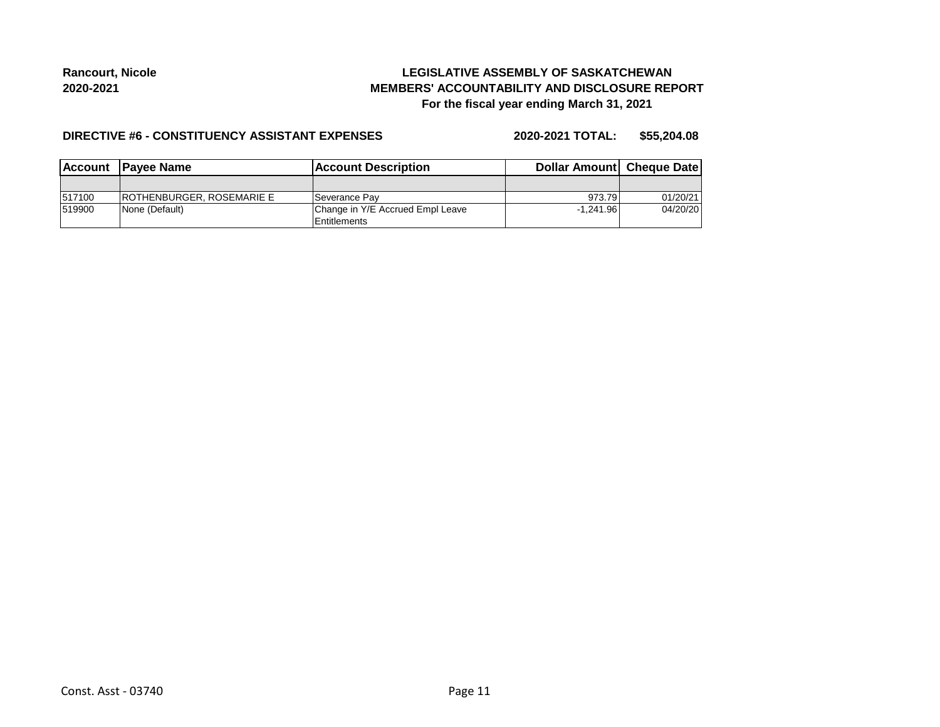## **LEGISLATIVE ASSEMBLY OF SASKATCHEWAN MEMBERS' ACCOUNTABILITY AND DISCLOSURE REPORT For the fiscal year ending March 31, 2021**

#### **DIRECTIVE #6 - CONSTITUENCY ASSISTANT EXPENSES**

**2020-2021 TOTAL: \$55,204.08**

|        | Account Payee Name                | <b>Account Description</b>       | Dollar Amount Cheque Date |          |
|--------|-----------------------------------|----------------------------------|---------------------------|----------|
|        |                                   |                                  |                           |          |
| 517100 | <b>IROTHENBURGER, ROSEMARIE E</b> | ∣Severance Pav                   | 973.79                    | 01/20/21 |
| 519900 | None (Default)                    | Change in Y/E Accrued Empl Leave | $-1.241.96$               | 04/20/20 |
|        |                                   | <b>Entitlements</b>              |                           |          |